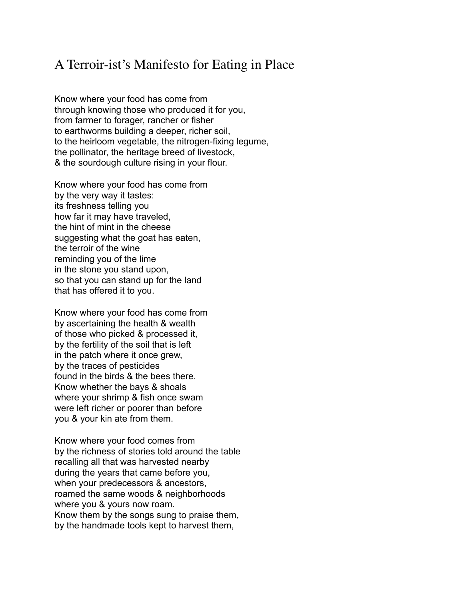## A Terroir-ist's Manifesto for Eating in Place

Know where your food has come from through knowing those who produced it for you, from farmer to forager, rancher or fisher to earthworms building a deeper, richer soil, to the heirloom vegetable, the nitrogen-fixing legume, the pollinator, the heritage breed of livestock, & the sourdough culture rising in your flour.

Know where your food has come from by the very way it tastes: its freshness telling you how far it may have traveled, the hint of mint in the cheese suggesting what the goat has eaten, the terroir of the wine reminding you of the lime in the stone you stand upon, so that you can stand up for the land that has offered it to you.

Know where your food has come from by ascertaining the health & wealth of those who picked & processed it, by the fertility of the soil that is left in the patch where it once grew, by the traces of pesticides found in the birds & the bees there. Know whether the bays & shoals where your shrimp & fish once swam were left richer or poorer than before you & your kin ate from them.

Know where your food comes from by the richness of stories told around the table recalling all that was harvested nearby during the years that came before you, when your predecessors & ancestors, roamed the same woods & neighborhoods where you & yours now roam. Know them by the songs sung to praise them, by the handmade tools kept to harvest them,